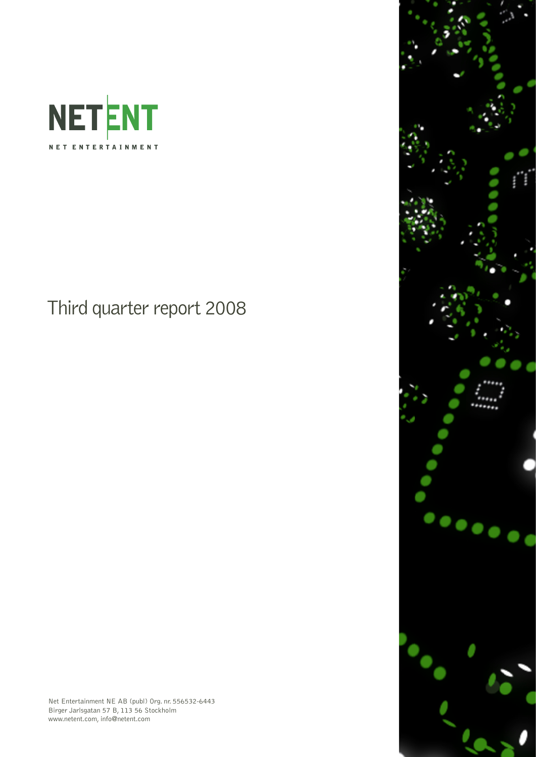

Third quarter report 2008





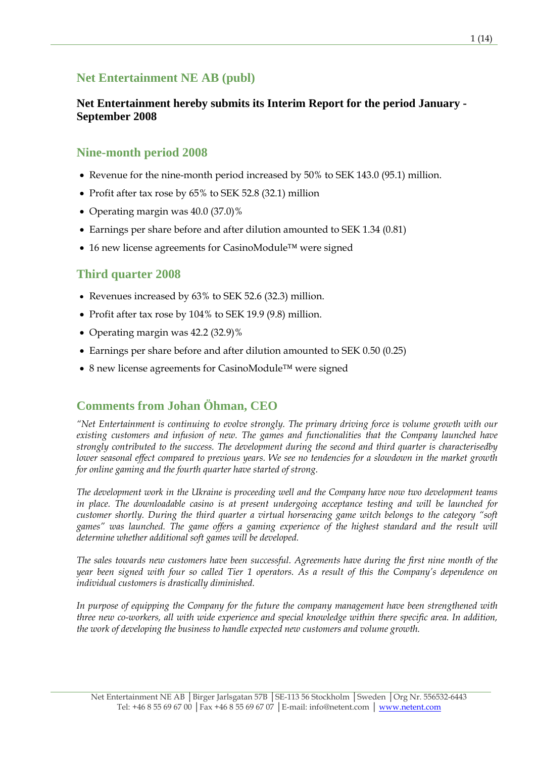## **Net Entertainment NE AB (publ)**

### **Net Entertainment hereby submits its Interim Report for the period January - September 2008**

### **Nine-month period 2008**

- Revenue for the nine-month period increased by 50% to SEK 143.0 (95.1) million.
- Profit after tax rose by 65% to SEK 52.8 (32.1) million
- Operating margin was 40.0 (37.0)%
- Earnings per share before and after dilution amounted to SEK 1.34 (0.81)
- 16 new license agreements for CasinoModule™ were signed

### **Third quarter 2008**

- Revenues increased by 63% to SEK 52.6 (32.3) million.
- Profit after tax rose by 104% to SEK 19.9 (9.8) million.
- Operating margin was 42.2 (32.9)%
- Earnings per share before and after dilution amounted to SEK 0.50 (0.25)
- 8 new license agreements for CasinoModule™ were signed

# **Comments from Johan Öhman, CEO**

*"Net Entertainment is continuing to evolve strongly. The primary driving force is volume growth with our existing customers and infusion of new. The games and functionalities that the Company launched have strongly contributed to the success. The development during the second and third quarter is characterisedby lower seasonal effect compared to previous years. We see no tendencies for a slowdown in the market growth for online gaming and the fourth quarter have started of strong.* 

*The development work in the Ukraine is proceeding well and the Company have now two development teams in place. The downloadable casino is at present undergoing acceptance testing and will be launched for customer shortly. During the third quarter a virtual horseracing game witch belongs to the category "soft games" was launched. The game offers a gaming experience of the highest standard and the result will determine whether additional soft games will be developed.* 

*The sales towards new customers have been successful. Agreements have during the first nine month of the year been signed with four so called Tier 1 operators. As a result of this the Company's dependence on individual customers is drastically diminished.* 

*In purpose of equipping the Company for the future the company management have been strengthened with three new co-workers, all with wide experience and special knowledge within there specific area. In addition, the work of developing the business to handle expected new customers and volume growth.*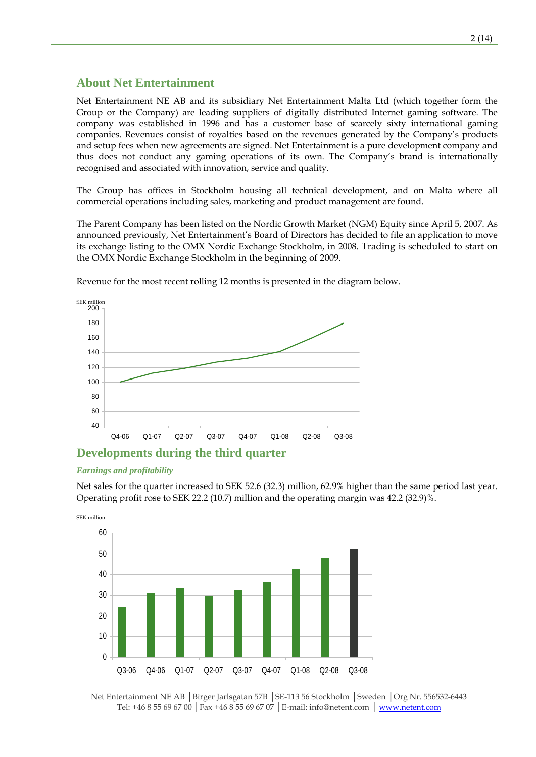### **About Net Entertainment**

Net Entertainment NE AB and its subsidiary Net Entertainment Malta Ltd (which together form the Group or the Company) are leading suppliers of digitally distributed Internet gaming software. The company was established in 1996 and has a customer base of scarcely sixty international gaming companies. Revenues consist of royalties based on the revenues generated by the Company's products and setup fees when new agreements are signed. Net Entertainment is a pure development company and thus does not conduct any gaming operations of its own. The Company's brand is internationally recognised and associated with innovation, service and quality.

The Group has offices in Stockholm housing all technical development, and on Malta where all commercial operations including sales, marketing and product management are found.

The Parent Company has been listed on the Nordic Growth Market (NGM) Equity since April 5, 2007. As announced previously, Net Entertainment's Board of Directors has decided to file an application to move its exchange listing to the OMX Nordic Exchange Stockholm, in 2008. Trading is scheduled to start on the OMX Nordic Exchange Stockholm in the beginning of 2009.



Revenue for the most recent rolling 12 months is presented in the diagram below.

### **Developments during the third quarter**

#### *Earnings and profitability*

Net sales for the quarter increased to SEK 52.6 (32.3) million, 62.9% higher than the same period last year. Operating profit rose to SEK 22.2 (10.7) million and the operating margin was 42.2 (32.9)%.



Net Entertainment NE AB │Birger Jarlsgatan 57B │SE-113 56 Stockholm │Sweden │Org Nr. 556532-6443 Tel: +46 8 55 69 67 00 │Fax +46 8 55 69 67 07 │E-mail: info@netent.com │ www.netent.com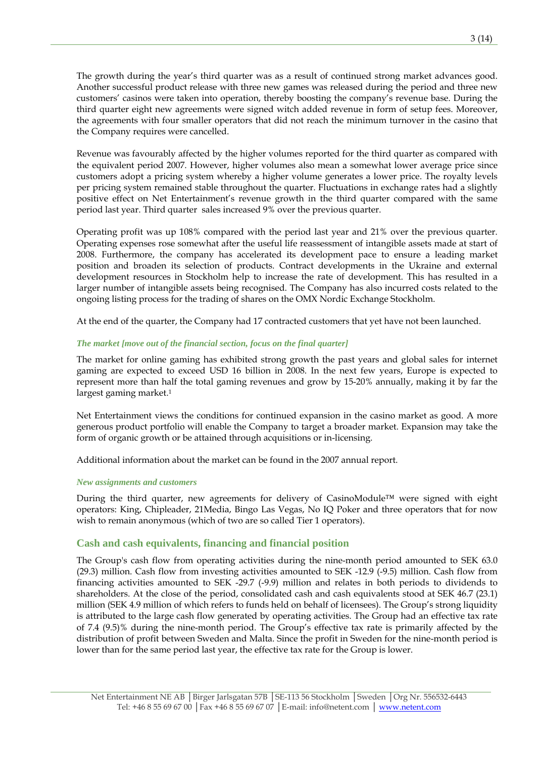The growth during the year's third quarter was as a result of continued strong market advances good. Another successful product release with three new games was released during the period and three new customers' casinos were taken into operation, thereby boosting the company's revenue base. During the third quarter eight new agreements were signed witch added revenue in form of setup fees. Moreover, the agreements with four smaller operators that did not reach the minimum turnover in the casino that the Company requires were cancelled.

Revenue was favourably affected by the higher volumes reported for the third quarter as compared with the equivalent period 2007. However, higher volumes also mean a somewhat lower average price since customers adopt a pricing system whereby a higher volume generates a lower price. The royalty levels per pricing system remained stable throughout the quarter. Fluctuations in exchange rates had a slightly positive effect on Net Entertainment's revenue growth in the third quarter compared with the same period last year. Third quarter sales increased 9% over the previous quarter.

Operating profit was up 108% compared with the period last year and 21% over the previous quarter. Operating expenses rose somewhat after the useful life reassessment of intangible assets made at start of 2008. Furthermore, the company has accelerated its development pace to ensure a leading market position and broaden its selection of products. Contract developments in the Ukraine and external development resources in Stockholm help to increase the rate of development. This has resulted in a larger number of intangible assets being recognised. The Company has also incurred costs related to the ongoing listing process for the trading of shares on the OMX Nordic Exchange Stockholm.

At the end of the quarter, the Company had 17 contracted customers that yet have not been launched.

#### *The market [move out of the financial section, focus on the final quarter]*

The market for online gaming has exhibited strong growth the past years and global sales for internet gaming are expected to exceed USD 16 billion in 2008. In the next few years, Europe is expected to represent more than half the total gaming revenues and grow by 15-20% annually, making it by far the largest gaming market.<sup>1</sup>

Net Entertainment views the conditions for continued expansion in the casino market as good. A more generous product portfolio will enable the Company to target a broader market. Expansion may take the form of organic growth or be attained through acquisitions or in-licensing.

Additional information about the market can be found in the 2007 annual report.

#### *New assignments and customers*

During the third quarter, new agreements for delivery of CasinoModule™ were signed with eight operators: King, Chipleader, 21Media, Bingo Las Vegas, No IQ Poker and three operators that for now wish to remain anonymous (which of two are so called Tier 1 operators).

#### **Cash and cash equivalents, financing and financial position**

The Group's cash flow from operating activities during the nine-month period amounted to SEK 63.0 (29.3) million. Cash flow from investing activities amounted to SEK -12.9 (-9.5) million. Cash flow from financing activities amounted to SEK -29.7 (-9.9) million and relates in both periods to dividends to shareholders. At the close of the period, consolidated cash and cash equivalents stood at SEK 46.7 (23.1) million (SEK 4.9 million of which refers to funds held on behalf of licensees). The Group's strong liquidity is attributed to the large cash flow generated by operating activities. The Group had an effective tax rate of 7.4 (9.5)% during the nine-month period. The Group's effective tax rate is primarily affected by the distribution of profit between Sweden and Malta. Since the profit in Sweden for the nine-month period is lower than for the same period last year, the effective tax rate for the Group is lower.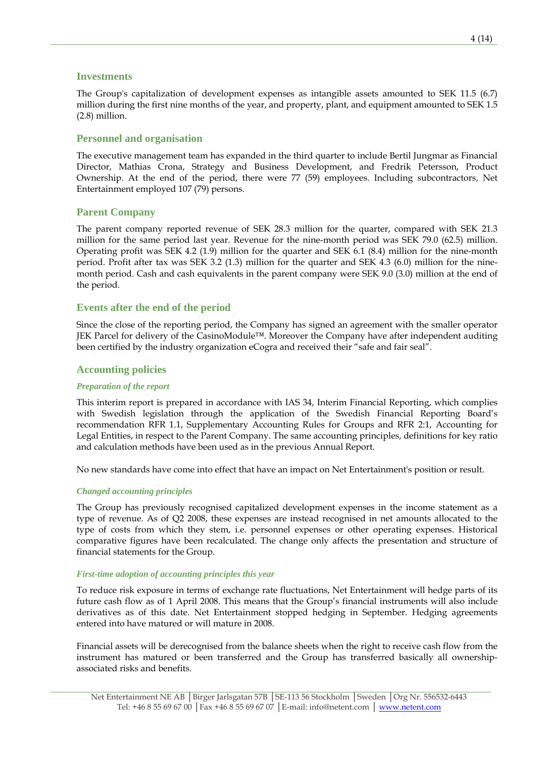#### **Investments**

The Group's capitalization of development expenses as intangible assets amounted to SEK 11.5 (6.7) million during the first nine months of the year, and property, plant, and equipment amounted to SEK 1.5 (2.8) million.

#### **Personnel and organisation**

The executive management team has expanded in the third quarter to include Bertil Jungmar as Financial Director, Mathias Crona, Strategy and Business Development, and Fredrik Petersson, Product Ownership. At the end of the period, there were 77 (59) employees. Including subcontractors, Net Entertainment employed 107 (79) persons.

#### **Parent Company**

The parent company reported revenue of SEK 28.3 million for the quarter, compared with SEK 21.3 million for the same period last year. Revenue for the nine-month period was SEK 79.0 (62.5) million. Operating profit was SEK 4.2 (1.9) million for the quarter and SEK 6.1 (8.4) million for the nine-month period. Profit after tax was SEK 3.2 (1.3) million for the quarter and SEK 4.3 (6.0) million for the ninemonth period. Cash and cash equivalents in the parent company were SEK 9.0 (3.0) million at the end of the period.

#### **Events after the end of the period**

Since the close of the reporting period, the Company has signed an agreement with the smaller operator JEK Parcel for delivery of the CasinoModule™. Moreover the Company have after independent auditing been certified by the industry organization eCogra and received their "safe and fair seal".

#### **Accounting policies**

#### *Preparation of the report*

This interim report is prepared in accordance with IAS 34, Interim Financial Reporting, which complies with Swedish legislation through the application of the Swedish Financial Reporting Board's recommendation RFR 1.1, Supplementary Accounting Rules for Groups and RFR 2:1, Accounting for Legal Entities, in respect to the Parent Company. The same accounting principles, definitions for key ratio and calculation methods have been used as in the previous Annual Report.

No new standards have come into effect that have an impact on Net Entertainment's position or result.

#### *Changed accounting principles*

The Group has previously recognised capitalized development expenses in the income statement as a type of revenue. As of Q2 2008, these expenses are instead recognised in net amounts allocated to the type of costs from which they stem, i.e. personnel expenses or other operating expenses. Historical comparative figures have been recalculated. The change only affects the presentation and structure of financial statements for the Group.

#### *First-time adoption of accounting principles this year*

To reduce risk exposure in terms of exchange rate fluctuations, Net Entertainment will hedge parts of its future cash flow as of 1 April 2008. This means that the Group's financial instruments will also include derivatives as of this date. Net Entertainment stopped hedging in September. Hedging agreements entered into have matured or will mature in 2008.

Financial assets will be derecognised from the balance sheets when the right to receive cash flow from the instrument has matured or been transferred and the Group has transferred basically all ownershipassociated risks and benefits.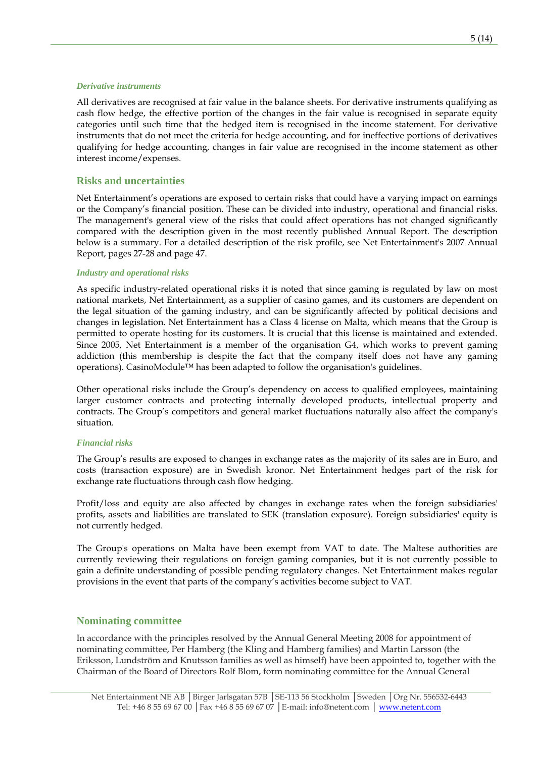#### *Derivative instruments*

All derivatives are recognised at fair value in the balance sheets. For derivative instruments qualifying as cash flow hedge, the effective portion of the changes in the fair value is recognised in separate equity categories until such time that the hedged item is recognised in the income statement. For derivative instruments that do not meet the criteria for hedge accounting, and for ineffective portions of derivatives qualifying for hedge accounting, changes in fair value are recognised in the income statement as other interest income/expenses.

#### **Risks and uncertainties**

Net Entertainment's operations are exposed to certain risks that could have a varying impact on earnings or the Company's financial position. These can be divided into industry, operational and financial risks. The management's general view of the risks that could affect operations has not changed significantly compared with the description given in the most recently published Annual Report. The description below is a summary. For a detailed description of the risk profile, see Net Entertainment's 2007 Annual Report, pages 27-28 and page 47.

#### *Industry and operational risks*

As specific industry-related operational risks it is noted that since gaming is regulated by law on most national markets, Net Entertainment, as a supplier of casino games, and its customers are dependent on the legal situation of the gaming industry, and can be significantly affected by political decisions and changes in legislation. Net Entertainment has a Class 4 license on Malta, which means that the Group is permitted to operate hosting for its customers. It is crucial that this license is maintained and extended. Since 2005, Net Entertainment is a member of the organisation G4, which works to prevent gaming addiction (this membership is despite the fact that the company itself does not have any gaming operations). CasinoModule™ has been adapted to follow the organisation's guidelines.

Other operational risks include the Group's dependency on access to qualified employees, maintaining larger customer contracts and protecting internally developed products, intellectual property and contracts. The Group's competitors and general market fluctuations naturally also affect the company's situation.

#### *Financial risks*

The Group's results are exposed to changes in exchange rates as the majority of its sales are in Euro, and costs (transaction exposure) are in Swedish kronor. Net Entertainment hedges part of the risk for exchange rate fluctuations through cash flow hedging.

Profit/loss and equity are also affected by changes in exchange rates when the foreign subsidiaries' profits, assets and liabilities are translated to SEK (translation exposure). Foreign subsidiaries' equity is not currently hedged.

The Group's operations on Malta have been exempt from VAT to date. The Maltese authorities are currently reviewing their regulations on foreign gaming companies, but it is not currently possible to gain a definite understanding of possible pending regulatory changes. Net Entertainment makes regular provisions in the event that parts of the company's activities become subject to VAT.

#### **Nominating committee**

In accordance with the principles resolved by the Annual General Meeting 2008 for appointment of nominating committee, Per Hamberg (the Kling and Hamberg families) and Martin Larsson (the Eriksson, Lundström and Knutsson families as well as himself) have been appointed to, together with the Chairman of the Board of Directors Rolf Blom, form nominating committee for the Annual General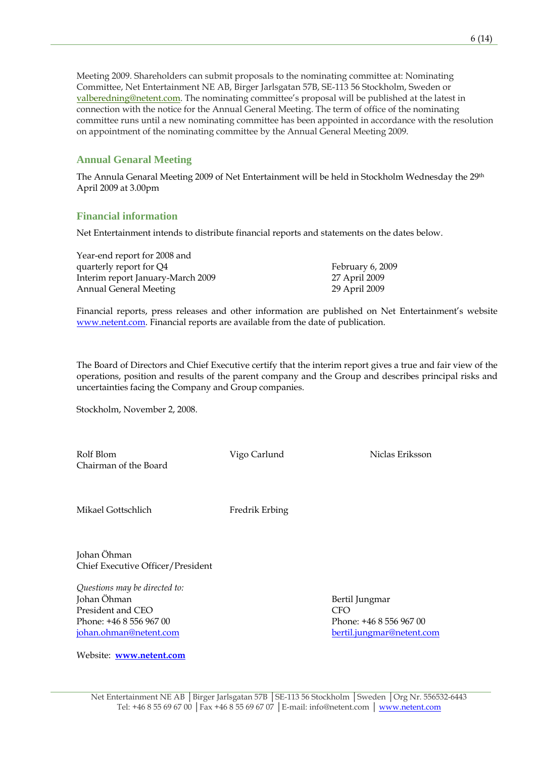Meeting 2009. Shareholders can submit proposals to the nominating committee at: Nominating Committee, Net Entertainment NE AB, Birger Jarlsgatan 57B, SE-113 56 Stockholm, Sweden or [valberedning@netent.com](mailto:valberedning@netent.com). The nominating committee's proposal will be published at the latest in connection with the notice for the Annual General Meeting. The term of office of the nominating committee runs until a new nominating committee has been appointed in accordance with the resolution on appointment of the nominating committee by the Annual General Meeting 2009.

#### **Annual Genaral Meeting**

The Annula Genaral Meeting 2009 of Net Entertainment will be held in Stockholm Wednesday the 29th April 2009 at 3.00pm

#### **Financial information**

Net Entertainment intends to distribute financial reports and statements on the dates below.

Year-end report for 2008 and quarterly report for Q4 February 6, 2009 Interim report January-March 2009 27 April 2009 Annual General Meeting 29 April 2009

Financial reports, press releases and other information are published on Net Entertainment's website [www.netent.com.](http://www.netent.com/) Financial reports are available from the date of publication.

The Board of Directors and Chief Executive certify that the interim report gives a true and fair view of the operations, position and results of the parent company and the Group and describes principal risks and uncertainties facing the Company and Group companies.

Stockholm, November 2, 2008.

Rolf Blom Vigo Carlund Niclas Eriksson Chairman of the Board

Mikael Gottschlich Fredrik Erbing

Johan Öhman Chief Executive Officer/President

*Questions may be directed to:*  Johan Öhman Bertil Jungmar President and CEO CFO Phone: +46 8 556 967 00 Phone: +46 8 556 967 00 [johan.ohman@netent.com](mailto:johan.ohman@netent.com) [bertil.jungmar@netent.com](mailto:bertil.jungmar@netent.com)

Website: **[www.netent.com](http://www.netent.com/)**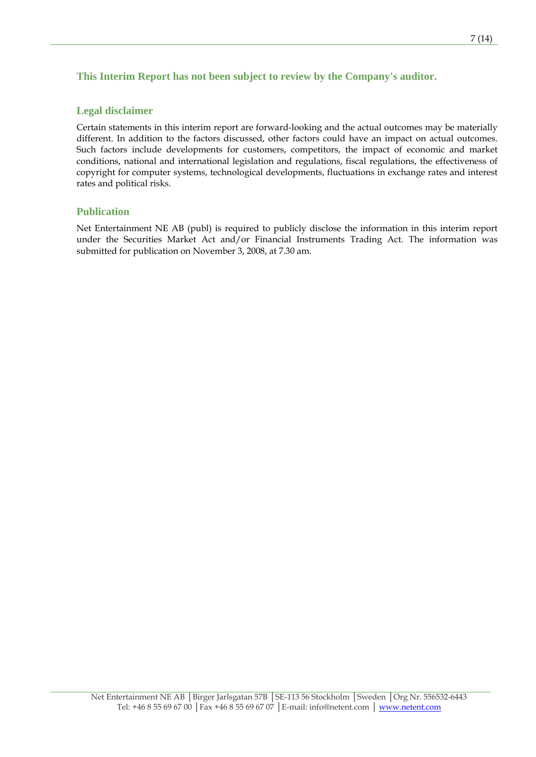### **This Interim Report has not been subject to review by the Company's auditor.**

#### **Legal disclaimer**

Certain statements in this interim report are forward-looking and the actual outcomes may be materially different. In addition to the factors discussed, other factors could have an impact on actual outcomes. Such factors include developments for customers, competitors, the impact of economic and market conditions, national and international legislation and regulations, fiscal regulations, the effectiveness of copyright for computer systems, technological developments, fluctuations in exchange rates and interest rates and political risks.

### **Publication**

Net Entertainment NE AB (publ) is required to publicly disclose the information in this interim report under the Securities Market Act and/or Financial Instruments Trading Act. The information was submitted for publication on November 3, 2008, at 7.30 am.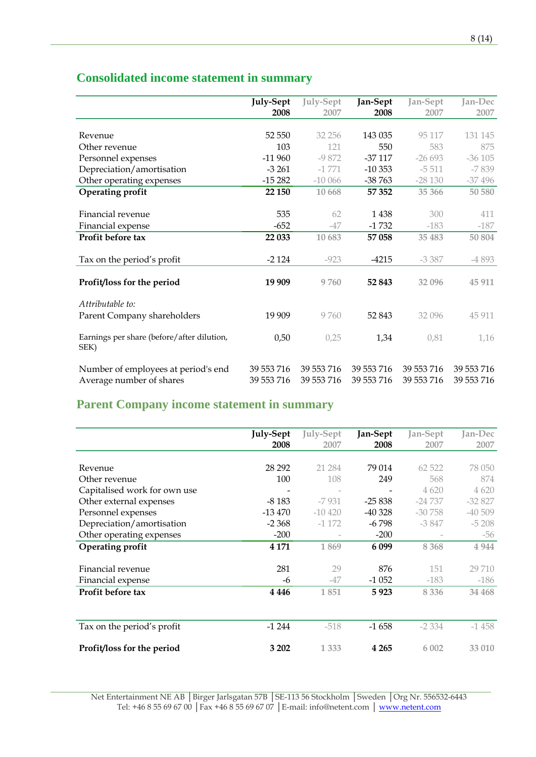|                                            | <b>July-Sept</b> | <b>July-Sept</b> | Jan-Sept   | Jan-Sept   | Jan-Dec    |
|--------------------------------------------|------------------|------------------|------------|------------|------------|
|                                            | 2008             | 2007             | 2008       | 2007       | 2007       |
|                                            |                  |                  |            |            |            |
| Revenue                                    | 52 550           | 32 256           | 143 035    | 95 117     | 131 145    |
| Other revenue                              | 103              | 121              | 550        | 583        | 875        |
| Personnel expenses                         | $-11960$         | $-9872$          | $-37117$   | $-26693$   | $-36105$   |
| Depreciation/amortisation                  | $-3261$          | $-1771$          | $-10353$   | $-5511$    | $-7839$    |
| Other operating expenses                   | $-15282$         | $-10066$         | $-38763$   | $-28130$   | $-37496$   |
| <b>Operating profit</b>                    | 22 150           | 10 668           | 57 352     | 35 366     | 50 580     |
|                                            |                  |                  |            |            |            |
| Financial revenue                          | 535              | 62               | 1438       | 300        | 411        |
| Financial expense                          | $-652$           | $-47$            | $-1732$    | $-183$     | $-187$     |
| Profit before tax                          | 22 033           | 10 683           | 57 058     | 35 483     | 50 804     |
|                                            |                  |                  |            |            |            |
| Tax on the period's profit                 | $-2124$          | $-923$           | $-4215$    | $-3.387$   | $-4893$    |
|                                            |                  |                  |            |            |            |
| Profit/loss for the period                 | 19 909           | 9760             | 52 843     | 32 096     | 45 911     |
|                                            |                  |                  |            |            |            |
| Attributable to:                           |                  |                  |            |            |            |
| Parent Company shareholders                | 19 909           | 9760             | 52 843     | 32 096     | 45 911     |
| Earnings per share (before/after dilution, | 0,50             | 0,25             | 1,34       | 0,81       | 1,16       |
| SEK)                                       |                  |                  |            |            |            |
|                                            |                  |                  |            |            |            |
| Number of employees at period's end        | 39 553 716       | 39 553 716       | 39 553 716 | 39 553 716 | 39 553 716 |
| Average number of shares                   | 39 553 716       | 39 553 716       | 39 553 716 | 39 553 716 | 39 553 716 |

# **Consolidated income statement in summary**

# **Parent Company income statement in summary**

|                              | <b>July-Sept</b><br>2008 | July-Sept<br>2007 | Jan-Sept<br>2008 | Jan-Sept<br>2007 | Jan-Dec<br>2007 |
|------------------------------|--------------------------|-------------------|------------------|------------------|-----------------|
|                              |                          |                   |                  |                  |                 |
| Revenue                      | 28 29 2                  | 21 284            | 79 014           | 62 5 22          | 78 050          |
| Other revenue                | 100                      | 108               | 249              | 568              | 874             |
| Capitalised work for own use |                          |                   |                  | 4 6 20           | 4 6 20          |
| Other external expenses      | $-8183$                  | $-7931$           | $-25838$         | $-24737$         | $-32827$        |
| Personnel expenses           | $-13470$                 | $-10420$          | $-40328$         | $-30758$         | $-40509$        |
| Depreciation/amortisation    | $-2.368$                 | $-1172$           | $-6798$          | $-3847$          | $-5208$         |
| Other operating expenses     | $-200$                   |                   | $-200$           |                  | -56             |
| <b>Operating profit</b>      | 4 1 7 1                  | 1869              | 6 0 9 9          | 8 3 6 8          | 4 9 4 4         |
|                              |                          |                   |                  |                  |                 |
| Financial revenue            | 281                      | 29                | 876              | 151              | 29 710          |
| Financial expense            | -6                       | $-47$             | $-1052$          | $-183$           | $-186$          |
| Profit before tax            | 4 4 4 6                  | 1851              | 5923             | 8 3 3 6          | 34 4 68         |
|                              |                          |                   |                  |                  |                 |
| Tax on the period's profit   | $-1244$                  | $-518$            | $-1658$          | $-2334$          | $-1458$         |
| Profit/loss for the period   | 3 202                    | 1 3 3 3           | 4 2 6 5          | 6 0 0 2          | 33 010          |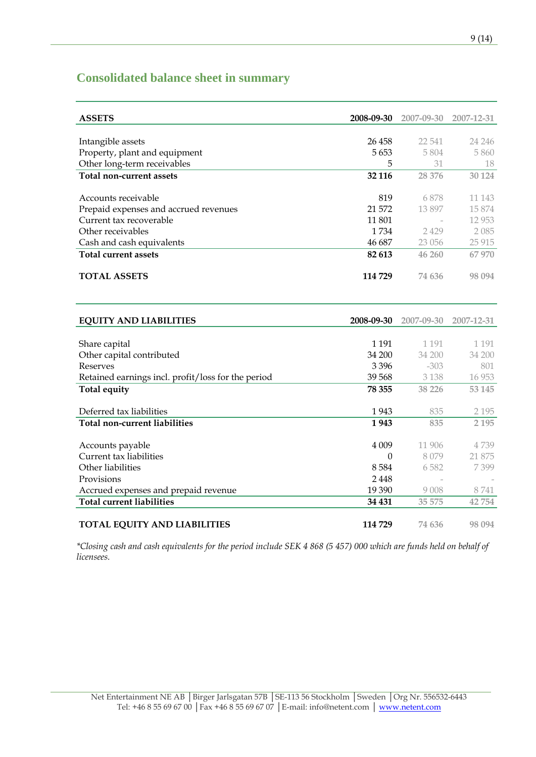## **Consolidated balance sheet in summary**

| <b>ASSETS</b>                                      | 2008-09-30 | 2007-09-30 | 2007-12-31 |
|----------------------------------------------------|------------|------------|------------|
|                                                    |            |            |            |
| Intangible assets                                  | 26 458     | 22 541     | 24 24 6    |
| Property, plant and equipment                      | 5653       | 5804       | 5860       |
| Other long-term receivables                        | 5          | 31         | 18         |
| Total non-current assets                           | 32 116     | 28 376     | 30 1 24    |
|                                                    |            |            |            |
| Accounts receivable                                | 819        | 6878       | 11 1 43    |
| Prepaid expenses and accrued revenues              | 21 572     | 13897      | 15 874     |
| Current tax recoverable                            | 11 801     |            | 12 9 53    |
| Other receivables                                  | 1734       | 2429       | 2085       |
| Cash and cash equivalents                          | 46 687     | 23 056     | 25 915     |
| <b>Total current assets</b>                        | 82 613     | 46 260     | 67 970     |
| <b>TOTAL ASSETS</b>                                | 114 729    | 74 636     | 98 094     |
| <b>EQUITY AND LIABILITIES</b>                      | 2008-09-30 | 2007-09-30 | 2007-12-31 |
|                                                    |            |            |            |
| Share capital                                      | 1 1 9 1    | 1 1 9 1    | 1 1 9 1    |
| Other capital contributed                          | 34 200     | 34 200     | 34 200     |
| Reserves                                           | 3 3 9 6    | $-303$     | 801        |
| Retained earnings incl. profit/loss for the period | 39 568     | 3 1 3 8    | 16 953     |
| <b>Total equity</b>                                | 78 355     | 38 2 2 6   | 53 145     |
| Deferred tax liabilities                           | 1943       | 835        | 2 1 9 5    |
| Total non-current liabilities                      | 1943       | 835        | 2 1 9 5    |
|                                                    |            |            |            |
| Accounts payable                                   | 4 0 0 9    | 11 906     | 4 739      |
| Current tax liabilities                            | $\theta$   | 8079       | 21 875     |
| Other liabilities                                  | 8584       | 6582       | 7399       |
| Provisions                                         | 2 4 4 8    |            |            |
| Accrued expenses and prepaid revenue               | 19 390     | 9008       | 8741       |
| <b>Total current liabilities</b>                   | 34 431     | 35 575     | 42 754     |
|                                                    |            |            |            |
| <b>TOTAL EQUITY AND LIABILITIES</b>                | 114729     | 74 636     | 98 0 94    |

*\*Closing cash and cash equivalents for the period include SEK 4 868 (5 457) 000 which are funds held on behalf of licensees.*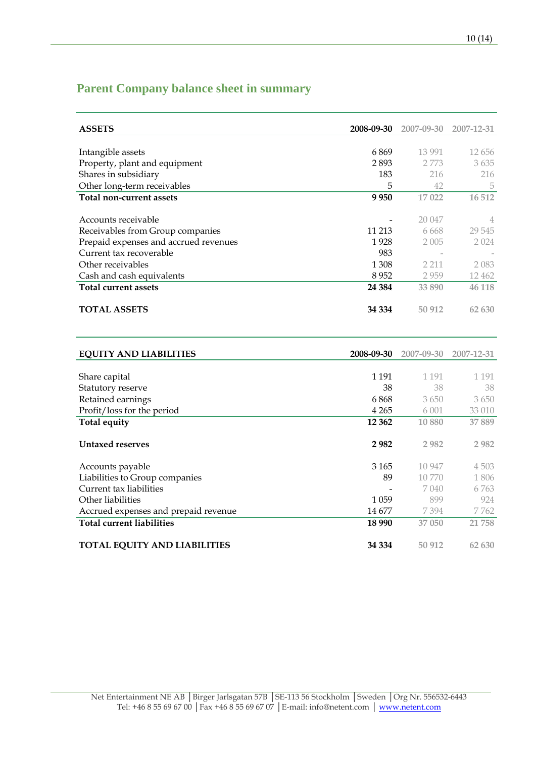# **Parent Company balance sheet in summary**

| <b>ASSETS</b>                         | 2008-09-30 | 2007-09-30 | 2007-12-31 |
|---------------------------------------|------------|------------|------------|
|                                       |            |            |            |
| Intangible assets                     | 6869       | 13 991     | 12 656     |
| Property, plant and equipment         | 2893       | 2 7 7 3    | 3635       |
| Shares in subsidiary                  | 183        | 216        | 216        |
| Other long-term receivables           | 5          | 42         | 5          |
| Total non-current assets              | 9950       | 17022      | 16 512     |
|                                       |            |            |            |
| Accounts receivable                   |            | 20 047     | 4          |
| Receivables from Group companies      | 11 213     | 6.668      | 29 545     |
| Prepaid expenses and accrued revenues | 1928       | 2 0 0 5    | 2 0 2 4    |
| Current tax recoverable               | 983        |            |            |
| Other receivables                     | 1 308      | 2 2 1 1    | 2 083      |
| Cash and cash equivalents             | 8952       | 2959       | 12462      |
| <b>Total current assets</b>           | 24 3 84    | 33 890     | 46 118     |
|                                       |            |            |            |
| <b>TOTAL ASSETS</b>                   | 34 334     | 50 912     | 62 630     |
|                                       |            |            |            |

| <b>EQUITY AND LIABILITIES</b>        | 2008-09-30 | 2007-09-30 | 2007-12-31 |
|--------------------------------------|------------|------------|------------|
|                                      |            |            |            |
| Share capital                        | 1 1 9 1    | 1 1 9 1    | 1 1 9 1    |
| Statutory reserve                    | 38         | 38         | 38         |
| Retained earnings                    | 6868       | 3650       | 3650       |
| Profit/loss for the period           | 4 2 6 5    | 6 0 0 1    | 33 010     |
| Total equity                         | 12 3 62    | 10 880     | 37889      |
|                                      |            |            |            |
| <b>Untaxed reserves</b>              | 2982       | 2 9 8 2    | 2 9 8 2    |
|                                      |            |            |            |
| Accounts payable                     | 3 1 6 5    | 10 947     | 4 503      |
| Liabilities to Group companies       | 89         | 10 770     | 1806       |
| Current tax liabilities              |            | 7 040      | 6 7 6 3    |
| Other liabilities                    | 1 0 5 9    | 899        | 924        |
| Accrued expenses and prepaid revenue | 14 677     | 7394       | 7762       |
| <b>Total current liabilities</b>     | 18 990     | 37 050     | 21 758     |
|                                      |            |            |            |
| <b>TOTAL EQUITY AND LIABILITIES</b>  | 34 334     | 50 912     | 62 630     |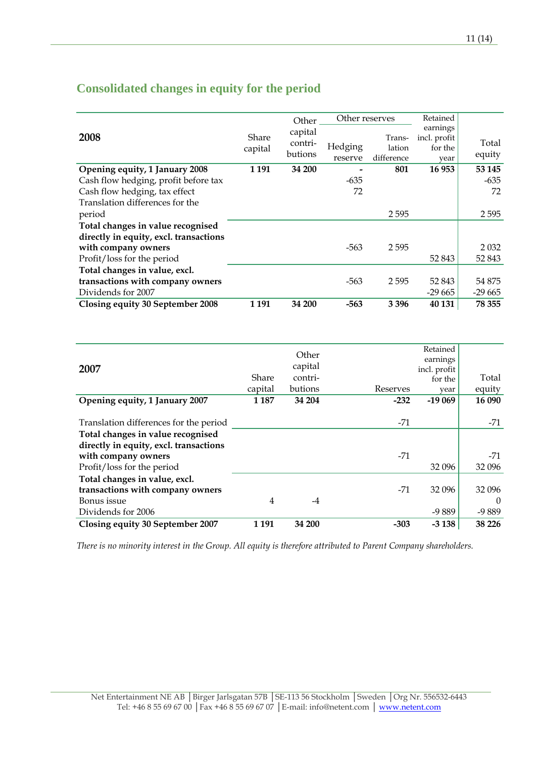|                                        |                  | Other                         | Other reserves     |                                | Retained                                    |                 |
|----------------------------------------|------------------|-------------------------------|--------------------|--------------------------------|---------------------------------------------|-----------------|
| 2008                                   | Share<br>capital | capital<br>contri-<br>butions | Hedging<br>reserve | Trans-<br>lation<br>difference | earnings<br>incl. profit<br>for the<br>year | Total<br>equity |
| Opening equity, 1 January 2008         | 1 1 9 1          | 34 200                        |                    | 801                            | 16 953                                      | 53 145          |
| Cash flow hedging, profit before tax   |                  |                               | $-635$             |                                |                                             | -635            |
| Cash flow hedging, tax effect          |                  |                               | 72                 |                                |                                             | 72              |
| Translation differences for the        |                  |                               |                    |                                |                                             |                 |
| period                                 |                  |                               |                    | 2595                           |                                             | 2595            |
| Total changes in value recognised      |                  |                               |                    |                                |                                             |                 |
| directly in equity, excl. transactions |                  |                               |                    |                                |                                             |                 |
| with company owners                    |                  |                               | $-563$             | 2595                           |                                             | 2 0 3 2         |
| Profit/loss for the period             |                  |                               |                    |                                | 52 843                                      | 52 843          |
| Total changes in value, excl.          |                  |                               |                    |                                |                                             |                 |
| transactions with company owners       |                  |                               | $-563$             | 2595                           | 52 843                                      | 54 875          |
| Dividends for 2007                     |                  |                               |                    |                                | -29 665                                     | $-29665$        |
| Closing equity 30 September 2008       | 1 1 9 1          | 34 200                        | $-563$             | 3 3 9 6                        | 40 131                                      | 78 355          |

## **Consolidated changes in equity for the period**

|                                        |         | Other   |          | Retained     |          |  |
|----------------------------------------|---------|---------|----------|--------------|----------|--|
|                                        |         |         |          | earnings     |          |  |
| 2007                                   |         | capital |          | incl. profit |          |  |
|                                        | Share   | contri- |          | for the      | Total    |  |
|                                        | capital | butions | Reserves | year         | equity   |  |
| Opening equity, 1 January 2007         | 1 1 8 7 | 34 204  | $-232$   | $-19069$     | 16 090   |  |
|                                        |         |         |          |              |          |  |
| Translation differences for the period |         |         | $-71$    |              | $-71$    |  |
| Total changes in value recognised      |         |         |          |              |          |  |
| directly in equity, excl. transactions |         |         |          |              |          |  |
| with company owners                    |         |         | $-71$    |              | $-71$    |  |
| Profit/loss for the period             |         |         |          | 32 096       | 32 096   |  |
| Total changes in value, excl.          |         |         |          |              |          |  |
| transactions with company owners       |         |         | $-71$    | 32 096       | 32 096   |  |
| Bonus issue                            | 4       | -4      |          |              | $\Omega$ |  |
| Dividends for 2006                     |         |         |          | $-9889$      | $-9889$  |  |
| Closing equity 30 September 2007       | 1 1 9 1 | 34 200  | $-303$   | $-3138$      | 38 226   |  |

*There is no minority interest in the Group. All equity is therefore attributed to Parent Company shareholders.*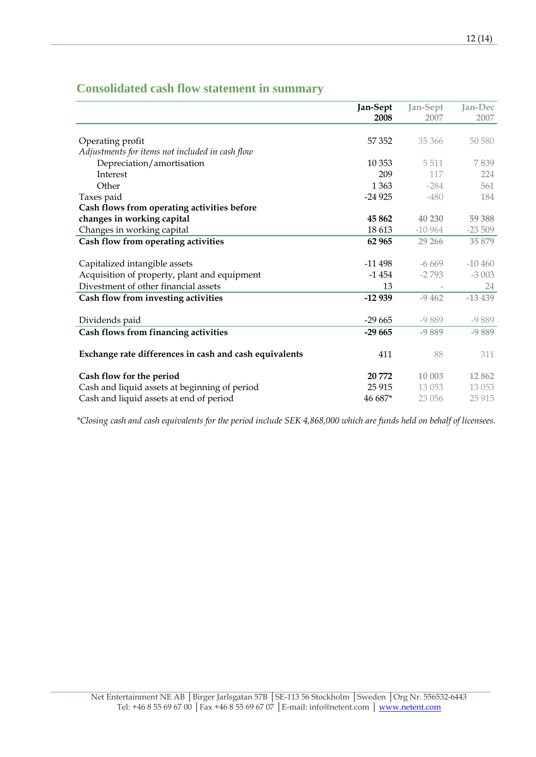## **Consolidated cash flow statement in summary**

|                                                        | Jan-Sept | Jan-Sept | Jan-Dec  |
|--------------------------------------------------------|----------|----------|----------|
|                                                        | 2008     | 2007     | 2007     |
|                                                        |          |          |          |
| Operating profit                                       | 57 352   | 35 366   | 50 580   |
| Adjustments for items not included in cash flow        |          |          |          |
| Depreciation/amortisation                              | 10 353   | 5 5 1 1  | 7839     |
| Interest                                               | 209      | 117      | 224      |
| Other                                                  | 1 3 6 3  | $-284$   | 561      |
| Taxes paid                                             | $-24925$ | $-480$   | 184      |
| Cash flows from operating activities before            |          |          |          |
| changes in working capital                             | 45 862   | 40 230   | 59 388   |
| Changes in working capital                             | 18 613   | $-10964$ | $-23509$ |
| Cash flow from operating activities                    | 62 965   | 29 26 6  | 35 879   |
|                                                        |          |          |          |
| Capitalized intangible assets                          | -11 498  | $-6669$  | $-10460$ |
| Acquisition of property, plant and equipment           | $-1454$  | $-2793$  | $-3003$  |
| Divestment of other financial assets                   | 13       |          | 24       |
| Cash flow from investing activities                    | $-12939$ | $-9,462$ | $-13439$ |
|                                                        |          |          |          |
| Dividends paid                                         | $-29665$ | $-9889$  | $-9889$  |
| Cash flows from financing activities                   | $-29665$ | $-9889$  | $-9889$  |
|                                                        |          |          |          |
| Exchange rate differences in cash and cash equivalents | 411      | 88       | 311      |
|                                                        |          |          |          |
| Cash flow for the period                               | 20 772   | 10 003   | 12862    |
| Cash and liquid assets at beginning of period          | 25 915   | 13 053   | 13 053   |
| Cash and liquid assets at end of period                | 46 687*  | 23 056   | 25 9 15  |

*\*Closing cash and cash equivalents for the period include SEK 4,868,000 which are funds held on behalf of licensees.*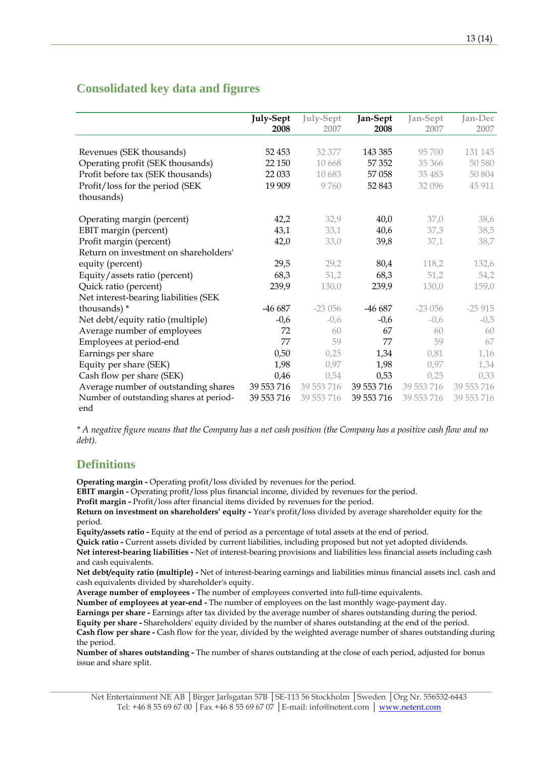### **Consolidated key data and figures**

|                                         | <b>July-Sept</b> | <b>July-Sept</b> | Jan-Sept   | Jan-Sept   | Jan-Dec    |
|-----------------------------------------|------------------|------------------|------------|------------|------------|
|                                         | 2008             | 2007             | 2008       | 2007       | 2007       |
|                                         |                  |                  |            |            |            |
| Revenues (SEK thousands)                | 52 453           | 32 377           | 143 385    | 95 700     | 131 145    |
| Operating profit (SEK thousands)        | 22 150           | 10 668           | 57 352     | 35 366     | 50 580     |
| Profit before tax (SEK thousands)       | 22 033           | 10 683           | 57 058     | 35 483     | 50 804     |
| Profit/loss for the period (SEK         | 19 909           | 9760             | 52 843     | 32 096     | 45 911     |
| thousands)                              |                  |                  |            |            |            |
|                                         |                  |                  |            |            |            |
| Operating margin (percent)              | 42,2             | 32,9             | 40,0       | 37,0       | 38,6       |
| EBIT margin (percent)                   | 43,1             | 33,1             | 40,6       | 37,3       | 38,5       |
| Profit margin (percent)                 | 42,0             | 33,0             | 39,8       | 37,1       | 38,7       |
| Return on investment on shareholders'   |                  |                  |            |            |            |
| equity (percent)                        | 29,5             | 29,2             | 80,4       | 118,2      | 132,6      |
| Equity/assets ratio (percent)           | 68,3             | 51,2             | 68,3       | 51,2       | 54,2       |
| Quick ratio (percent)                   | 239,9            | 130,0            | 239,9      | 130,0      | 159,0      |
| Net interest-bearing liabilities (SEK   |                  |                  |            |            |            |
| thousands) *                            | $-46687$         | $-23056$         | -46 687    | $-23056$   | $-25915$   |
| Net debt/equity ratio (multiple)        | $-0,6$           | $-0,6$           | $-0,6$     | $-0,6$     | $-0,5$     |
| Average number of employees             | 72               | 60               | 67         | 60         | 60         |
| Employees at period-end                 | 77               | 59               | 77         | 59         | 67         |
| Earnings per share                      | 0,50             | 0,25             | 1,34       | 0,81       | 1,16       |
| Equity per share (SEK)                  | 1,98             | 0,97             | 1,98       | 0,97       | 1,34       |
| Cash flow per share (SEK)               | 0,46             | 0,54             | 0,53       | 0,25       | 0,33       |
| Average number of outstanding shares    | 39 553 716       | 39 553 716       | 39 553 716 | 39 553 716 | 39 553 716 |
| Number of outstanding shares at period- | 39 553 716       | 39 553 716       | 39 553 716 | 39 553 716 | 39 553 716 |
| end                                     |                  |                  |            |            |            |

*\* A negative figure means that the Company has a net cash position (the Company has a positive cash flow and no debt).*

### **Definitions**

**Operating margin -** Operating profit/loss divided by revenues for the period.

**EBIT margin -** Operating profit/loss plus financial income, divided by revenues for the period.

**Profit margin -** Profit/loss after financial items divided by revenues for the period.

**Return on investment on shareholders' equity -** Year's profit/loss divided by average shareholder equity for the period.

**Equity/assets ratio -** Equity at the end of period as a percentage of total assets at the end of period.

**Quick ratio -** Current assets divided by current liabilities, including proposed but not yet adopted dividends.

**Net interest-bearing liabilities -** Net of interest-bearing provisions and liabilities less financial assets including cash and cash equivalents.

**Net debt/equity ratio (multiple) -** Net of interest-bearing earnings and liabilities minus financial assets incl. cash and cash equivalents divided by shareholder's equity.

**Average number of employees -** The number of employees converted into full-time equivalents.

**Number of employees at year-end -** The number of employees on the last monthly wage-payment day.

**Earnings per share -** Earnings after tax divided by the average number of shares outstanding during the period.

**Equity per share -** Shareholders' equity divided by the number of shares outstanding at the end of the period.

**Cash flow per share -** Cash flow for the year, divided by the weighted average number of shares outstanding during the period.

**Number of shares outstanding -** The number of shares outstanding at the close of each period, adjusted for bonus issue and share split.